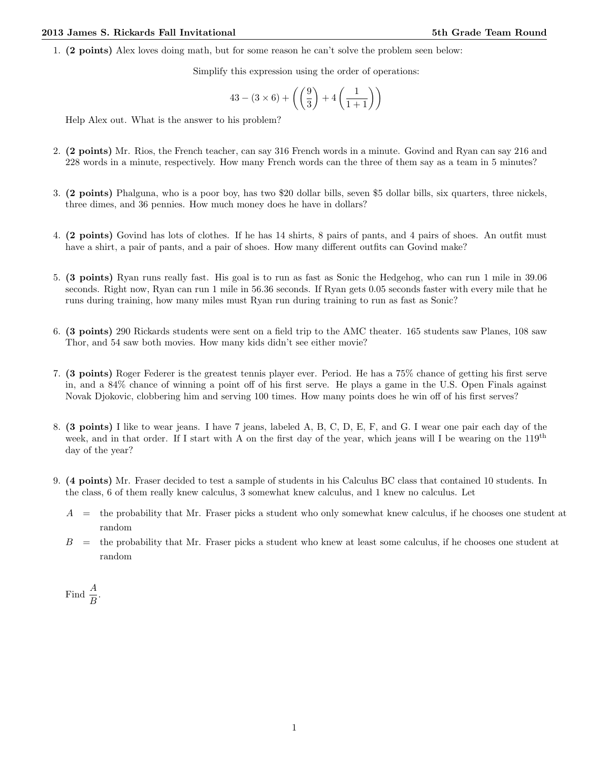1. (2 points) Alex loves doing math, but for some reason he can't solve the problem seen below:

Simplify this expression using the order of operations:

$$
43 - (3 \times 6) + \left( \left( \frac{9}{3} \right) + 4 \left( \frac{1}{1+1} \right) \right)
$$

Help Alex out. What is the answer to his problem?

- 2. (2 points) Mr. Rios, the French teacher, can say 316 French words in a minute. Govind and Ryan can say 216 and 228 words in a minute, respectively. How many French words can the three of them say as a team in 5 minutes?
- 3. (2 points) Phalguna, who is a poor boy, has two \$20 dollar bills, seven \$5 dollar bills, six quarters, three nickels, three dimes, and 36 pennies. How much money does he have in dollars?
- 4. (2 points) Govind has lots of clothes. If he has 14 shirts, 8 pairs of pants, and 4 pairs of shoes. An outfit must have a shirt, a pair of pants, and a pair of shoes. How many different outfits can Govind make?
- 5. (3 points) Ryan runs really fast. His goal is to run as fast as Sonic the Hedgehog, who can run 1 mile in 39.06 seconds. Right now, Ryan can run 1 mile in 56.36 seconds. If Ryan gets 0.05 seconds faster with every mile that he runs during training, how many miles must Ryan run during training to run as fast as Sonic?
- 6. (3 points) 290 Rickards students were sent on a field trip to the AMC theater. 165 students saw Planes, 108 saw Thor, and 54 saw both movies. How many kids didn't see either movie?
- 7. (3 points) Roger Federer is the greatest tennis player ever. Period. He has a 75% chance of getting his first serve in, and a 84% chance of winning a point off of his first serve. He plays a game in the U.S. Open Finals against Novak Djokovic, clobbering him and serving 100 times. How many points does he win off of his first serves?
- 8. (3 points) I like to wear jeans. I have 7 jeans, labeled A, B, C, D, E, F, and G. I wear one pair each day of the week, and in that order. If I start with A on the first day of the year, which jeans will I be wearing on the  $119^{th}$ day of the year?
- 9. (4 points) Mr. Fraser decided to test a sample of students in his Calculus BC class that contained 10 students. In the class, 6 of them really knew calculus, 3 somewhat knew calculus, and 1 knew no calculus. Let
	- $A =$  the probability that Mr. Fraser picks a student who only somewhat knew calculus, if he chooses one student at random
	- $B =$  the probability that Mr. Fraser picks a student who knew at least some calculus, if he chooses one student at random

Find  $\frac{A}{B}$ .